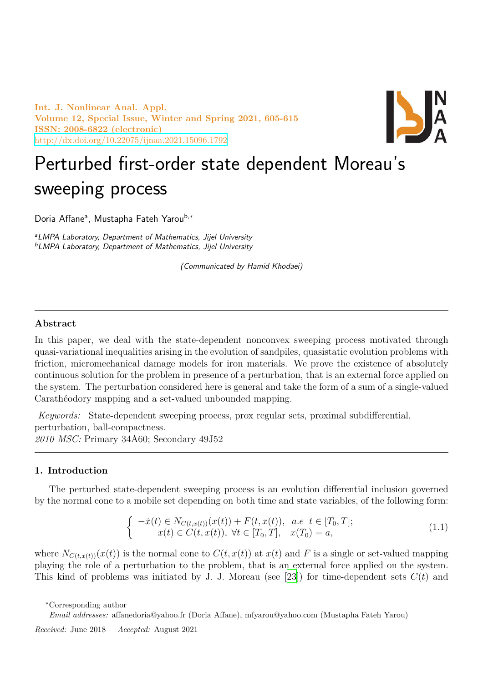**Int. J. Nonlinear Anal. Appl. Volume 12, Special Issue, Winter and Spring 2021, 605-615 ISSN: 2008-6822 (electronic)** http://dx.doi.org/10.22075/ijnaa.2021.15096.1792



# Perturbed first-order state dependent Moreau's [sweeping process](http://dx.doi.org/10.22075/ijnaa.2021.15096.1792)

Doria Affane<sup>a</sup>, Mustapha Fateh Yarou<sup>b,</sup>\*

*<sup>a</sup>LMPA Laboratory, Department of Mathematics, Jijel University <sup>b</sup>LMPA Laboratory, Department of Mathematics, Jijel University*

*(Communicated by Hamid Khodaei)*

# **Abstract**

In this paper, we deal with the state-dependent nonconvex sweeping process motivated through quasi-variational inequalities arising in the evolution of sandpiles, quasistatic evolution problems with friction, micromechanical damage models for iron materials. We prove the existence of absolutely continuous solution for the problem in presence of a perturbation, that is an external force applied on the system. The perturbation considered here is general and take the form of a sum of a single-valued Carathéodory mapping and a set-valued unbounded mapping.

*Keywords:* State-dependent sweeping process, prox regular sets, proximal subdifferential, perturbation, ball-compactness. *2010 MSC:* Primary 34A60; Secondary 49J52

## **1. Introduction**

The perturbed state-dependent sweeping process is an evolution differential inclusion governed by the normal cone to a mobile set depending on both time and state variables, of the following form:

$$
\begin{cases}\n-\dot{x}(t) \in N_{C(t,x(t))}(x(t)) + F(t,x(t)), & a.e. \ t \in [T_0, T]; \\
x(t) \in C(t, x(t)), \ \forall t \in [T_0, T], \quad x(T_0) = a,\n\end{cases}
$$
\n(1.1)

where  $N_{C(t,x(t))}(x(t))$  is the normal cone to  $C(t,x(t))$  at  $x(t)$  and F is a single or set-valued mapping playing the role of a perturbation to the problem, that is an external force applied on the system. This kind of problems was initiated by J. J. Moreau (see [23]) for time-dependent sets *C*(*t*) and

*<sup>∗</sup>*Corresponding author

*Email addresses:* affanedoria@yahoo.fr (Doria Affane), mfyarou@y[aho](#page-10-0)o.com (Mustapha Fateh Yarou)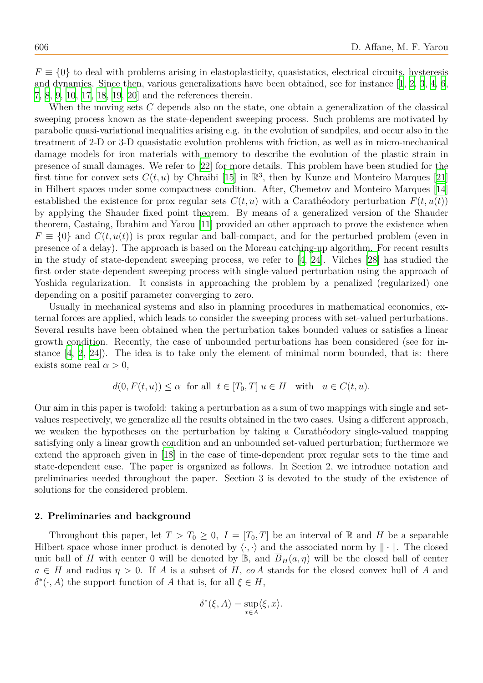$F \equiv \{0\}$  to deal with problems arising in elastoplasticity, quasistatics, electrical circuits, hysteresis and dynamics. Since then, various generalizations have been obtained, see for instance [1, 2, 3, 4, 6, 7, 8, 9, 10, 17, 18, 19, 20] and the references therein.

When the moving sets *C* depends also on the state, one obtain a generalization of the classical sweeping process known as the state-dependent sweeping process. Such problems are [mo](#page-10-1)[tiv](#page-10-2)[at](#page-10-3)e[d](#page-10-4) [by](#page-10-5) [p](#page-10-6)a[ra](#page-10-7)[bo](#page-10-8)l[ic q](#page-10-9)[uas](#page-10-10)[i-va](#page-10-11)[riat](#page-10-12)i[ona](#page-10-13)l inequalities arising e.g. in the evolution of sandpiles, and occur also in the treatment of 2-D or 3-D quasistatic evolution problems with friction, as well as in micro-mechanical damage models for iron materials with memory to describe the evolution of the plastic strain in presence of small damages. We refer to [22] for more details. This problem have been studied for the first time for convex sets  $C(t, u)$  by Chraibi [15] in  $\mathbb{R}^3$ , then by Kunze and Monteiro Marques [21] in Hilbert spaces under some compactness condition. After, Chemetov and Monteiro Marques [14] established the existence for prox regul[ar](#page-10-14) sets  $C(t, u)$  with a Carathéodory perturbation  $F(t, u(t))$ by applying the Shauder fixed point theore[m.](#page-10-15) By means of a generalized version of the Shau[der](#page-10-16) theorem, Castaing, Ibrahim and Yarou [11] provided an other approach to prove the existence w[hen](#page-10-17)  $F \equiv \{0\}$  and  $C(t, u(t))$  is prox regular and ball-compact, and for the perturbed problem (even in presence of a delay). The approach is based on the Moreau catching-up algorithm. For recent results in the study of state-dependent sweepi[ng](#page-10-18) process, we refer to [4, 24]. Vilches [28] has studied the first order state-dependent sweeping process with single-valued perturbation using the approach of Yoshida regularization. It consists in approaching the problem by a penalized (regularized) one depending on a positif parameter converging to zero.

Usually in mechanical systems and also in planning proced[ur](#page-10-4)e[s in](#page-10-19) mathema[tic](#page-10-20)al economics, external forces are applied, which leads to consider the sweeping process with set-valued perturbations. Several results have been obtained when the perturbation takes bounded values or satisfies a linear growth condition. Recently, the case of unbounded perturbations has been considered (see for instance  $[4, 2, 24]$ . The idea is to take only the element of minimal norm bounded, that is: there exists some real  $\alpha > 0$ ,

$$
d(0, F(t, u)) \le \alpha \quad \text{for all} \quad t \in [T_0, T] \quad u \in H \quad \text{with} \quad u \in C(t, u).
$$

Our aim in this paper is twofold: taking a perturbation as a sum of two mappings with single and setvalues respectively, we generalize all the results obtained in the two cases. Using a different approach, we weaken the hypotheses on the perturbation by taking a Carathéodory single-valued mapping satisfying only a linear growth condition and an unbounded set-valued perturbation; furthermore we extend the approach given in [18] in the case of time-dependent prox regular sets to the time and state-dependent case. The paper is organized as follows. In Section 2, we introduce notation and preliminaries needed throughout the paper. Section 3 is devoted to the study of the existence of solutions for the considered pr[oble](#page-10-11)m.

#### **2. Preliminaries and background**

Throughout this paper, let  $T > T_0 \geq 0$ ,  $I = [T_0, T]$  be an interval of R and H be a separable Hilbert space whose inner product is denoted by  $\langle \cdot, \cdot \rangle$  and the associated norm by  $\|\cdot\|$ . The closed unit ball of *H* with center 0 will be denoted by  $\mathbb{B}$ , and  $\overline{B}_H(a, \eta)$  will be the closed ball of center  $a \in H$  and radius  $\eta > 0$ . If *A* is a subset of *H*,  $\overline{co} A$  stands for the closed convex hull of *A* and *δ*<sup>\*</sup>( $\cdot$ , *A*) the support function of *A* that is, for all *ξ*  $∈$  *H*,

$$
\delta^*(\xi, A) = \sup_{x \in A} \langle \xi, x \rangle.
$$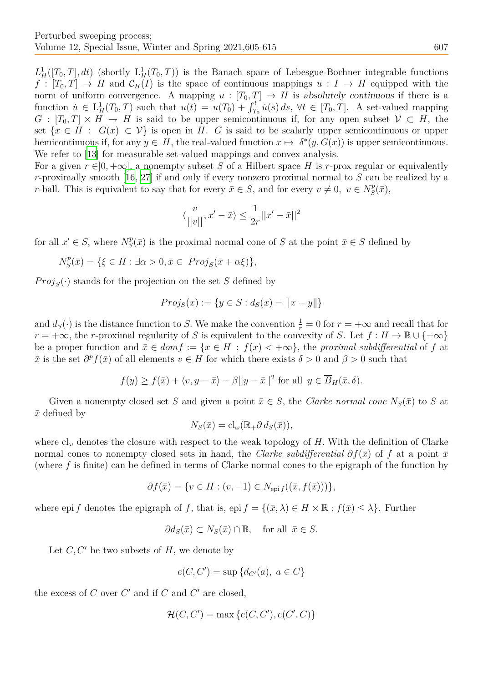$L^1_H([T_0,T], dt)$  (shortly  $L^1_H(T_0,T)$ ) is the Banach space of Lebesgue-Bochner integrable functions  $f: [T_0, T] \to H$  and  $\mathcal{C}_H(I)$  is the space of continuous mappings  $u: I \to H$  equipped with the norm of uniform convergence. A mapping  $u : [T_0, T] \to H$  is absolutely continuous if there is a function  $u \in L_H^1(T_0,T)$  such that  $u(t) = u(T_0) + \int_{T_0}^t u(s) ds$ ,  $\forall t \in [T_0,T]$ . A set-valued mapping  $G: [T_0, T] \times H \to H$  is said to be upper semicontinuous if, for any open subset  $V \subset H$ , the set  $\{x \in H : G(x) \subset V\}$  is open in *H*. *G* is said to be scalarly upper semicontinuous or upper hemicontinuous if, for any  $y \in H$ , the real-valued function  $x \mapsto \delta^*(y, G(x))$  is upper semicontinuous. We refer to [13] for measurable set-valued mappings and convex analysis.

For a given  $r \in ]0, +\infty]$ , a nonempty subset *S* of a Hilbert space *H* is *r*-prox regular or equivalently *r*-proximally smooth [16, 27] if and only if every nonzero proximal normal to *S* can be realized by a *r*-ball. This [is e](#page-10-21)quivalent to say that for every  $\bar{x} \in S$ , and for every  $v \neq 0$ ,  $v \in N_S^p$  $S^p_{S}(\bar{x}),$ 

$$
\langle \frac{v}{||v||}, x' - \bar{x} \rangle \leq \frac{1}{2r}||x' - \bar{x}||^2
$$

for all  $x' \in S$ , where  $N_S^p$  $S(\bar{x})$  is the proximal normal cone of *S* at the point  $\bar{x} \in S$  defined by

$$
N_S^p(\bar{x}) = \{ \xi \in H : \exists \alpha > 0, \bar{x} \in \text{Proj}_S(\bar{x} + \alpha \xi) \},
$$

 $Proj_S(\cdot)$  stands for the projection on the set *S* defined by

$$
Proj_S(x) := \{ y \in S : d_S(x) = ||x - y|| \}
$$

and  $d_S(\cdot)$  is the distance function to *S*. We make the convention  $\frac{1}{r} = 0$  for  $r = +\infty$  and recall that for  $r = +\infty$ , the *r*-proximal regularity of *S* is equivalent to the convexity of *S*. Let  $f : H \to \mathbb{R} \cup \{+\infty\}$ be a proper function and  $\bar{x} \in dom f := \{x \in H : f(x) < +\infty\}$ , the *proximal subdifferential* of f at  $\bar{x}$  is the set  $\partial^p f(\bar{x})$  of all elements  $v \in H$  for which there exists  $\delta > 0$  and  $\beta > 0$  such that

$$
f(y) \ge f(\bar{x}) + \langle v, y - \bar{x} \rangle - \beta ||y - \bar{x}||^2
$$
 for all  $y \in \overline{B}_H(\bar{x}, \delta)$ .

Given a nonempty closed set *S* and given a point  $\bar{x} \in S$ , the *Clarke normal cone*  $N_S(\bar{x})$  to *S* at  $\bar{x}$  defined by

$$
N_S(\bar{x}) = \mathrm{cl}_{\omega}(\mathbb{R}_+ \partial \, d_S(\bar{x})),
$$

where cl*<sup>ω</sup>* denotes the closure with respect to the weak topology of *H.* With the definition of Clarke normal cones to nonempty closed sets in hand, the *Clarke subdifferential*  $\partial f(\bar{x})$  of f at a point  $\bar{x}$ (where *f* is finite) can be defined in terms of Clarke normal cones to the epigraph of the function by

$$
\partial f(\bar{x}) = \{ v \in H : (v, -1) \in N_{\text{epi } f}((\bar{x}, f(\bar{x}))) \},
$$

where epi *f* denotes the epigraph of *f*, that is, epi  $f = \{(\bar{x}, \lambda) \in H \times \mathbb{R} : f(\bar{x}) \leq \lambda\}$ . Further

$$
\partial d_S(\bar{x}) \subset N_S(\bar{x}) \cap \mathbb{B}, \quad \text{for all } \bar{x} \in S.
$$

Let *C, C′* be two subsets of *H*, we denote by

$$
e(C, C') = \sup \{ d_{C'}(a), \ a \in C \}
$$

the excess of  $C$  over  $C'$  and if  $C$  and  $C'$  are closed,

$$
\mathcal{H}(C, C') = \max\{e(C, C'), e(C', C)\}
$$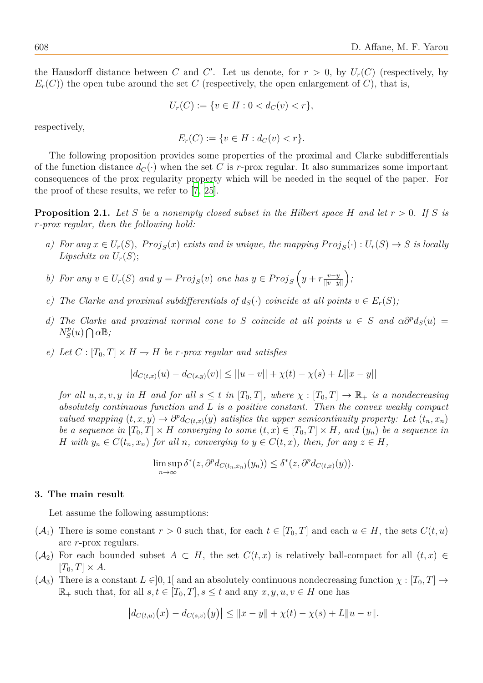the Hausdorff distance between *C* and *C'*. Let us denote, for  $r > 0$ , by  $U_r(C)$  (respectively, by  $E_r(C)$  the open tube around the set C (respectively, the open enlargement of C), that is,

$$
U_r(C) := \{ v \in H : 0 < d_C(v) < r \},
$$

respectively,

 $E_r(C) := \{ v \in H : d_C(v) < r \}.$ 

The following proposition provides some properties of the proximal and Clarke subdifferentials of the function distance  $d_C(\cdot)$  when the set C is r-prox regular. It also summarizes some important consequences of the prox regularity property which will be needed in the sequel of the paper. For the proof of these results, we refer to [7, 25].

**Proposition 2.1.** Let S be a nonempty closed subset in the Hilbert space H and let  $r > 0$ . If S is *r-prox regular, then the following hold[:](#page-10-6)*

- a) For any  $x \in U_r(S)$ ,  $Proj_S(x)$  exists and is unique, the mapping  $Proj_S(\cdot) : U_r(S) \to S$  is locally *Lipschitz on*  $U_r(S)$ ;
- *b*) *For any*  $v \in U_r(S)$  *and*  $y = Proj_S(v)$  *one has*  $y \in Proj_S(y) + r \frac{v-y}{|v-v|}$ *∥v−y∥ ;*
- *c*) The Clarke and proximal subdifferentials of  $d_S(\cdot)$  coincide at all points  $v \in E_r(S)$ ;
- *d) The Clarke and proximal normal cone to S coincide at all points*  $u \in S$  *and*  $\alpha \partial^p d_S(u) =$  $N_S^p$  $S^{p}(u) \bigcap \alpha \mathbb{B}$ ;
- *e)* Let  $C: [T_0, T] \times H \rightarrow H$  be *r-prox regular and satisfies*

$$
|d_{C(t,x)}(u) - d_{C(s,y)}(v)| \le ||u - v|| + \chi(t) - \chi(s) + L||x - y||
$$

*for all*  $u, x, v, y$  *in H* and *for all*  $s \leq t$  *in*  $[T_0, T]$ *, where*  $\chi : [T_0, T] \to \mathbb{R}_+$  *is a nondecreasing absolutely continuous function and L is a positive constant. Then the convex weakly compact valued mapping*  $(t, x, y) \rightarrow \partial^p d_{C(t,x)}(y)$  *satisfies the upper semicontinuity property: Let*  $(t_n, x_n)$ *be a sequence in*  $[T_0, T] \times H$  *converging to some*  $(t, x) \in [T_0, T] \times H$ *, and*  $(y_n)$  *be a sequence in* H with  $y_n \in C(t_n, x_n)$  for all n, converging to  $y \in C(t, x)$ , then, for any  $z \in H$ ,

$$
\limsup_{n \to \infty} \delta^*(z, \partial^p d_{C(t_n, x_n)}(y_n)) \leq \delta^*(z, \partial^p d_{C(t, x)}(y)).
$$

## **3. The main result**

Let assume the following assumptions:

- $(\mathcal{A}_1)$  There is some constant  $r > 0$  such that, for each  $t \in [T_0, T]$  and each  $u \in H$ , the sets  $C(t, u)$ are *r*-prox regulars.
- $(A_2)$  For each bounded subset  $A \subset H$ , the set  $C(t, x)$  is relatively ball-compact for all  $(t, x) \in$  $[T_0, T] \times A$ .
- $(\mathcal{A}_3)$  There is a constant  $L \in ]0,1[$  and an absolutely continuous nondecreasing function  $\chi : [T_0, T] \to$  $\mathbb{R}_+$  such that, for all  $s, t \in [T_0, T], s \leq t$  and any  $x, y, u, v \in H$  one has

$$
|d_{C(t,u)}(x) - d_{C(s,v)}(y)| \leq ||x - y|| + \chi(t) - \chi(s) + L||u - v||.
$$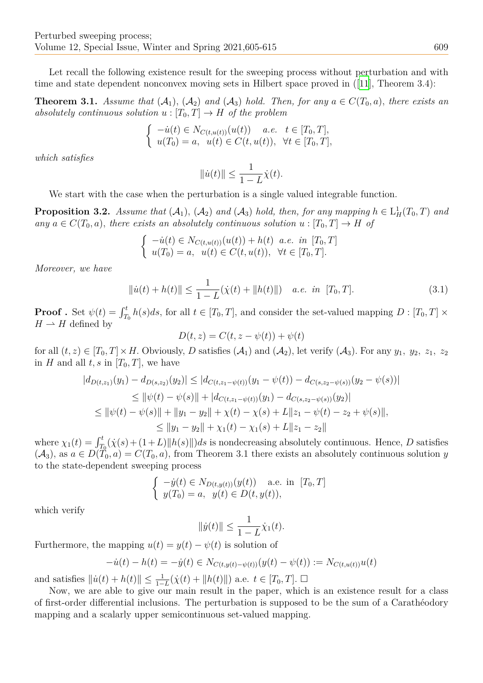Let recall the following existence result for the sweeping process without perturbation and with time and state dependent nonconvex moving sets in Hilbert space proved in ([11], Theorem 3.4):

**Theorem 3.1.** *Assume that*  $(A_1)$ ,  $(A_2)$  *and*  $(A_3)$  *hold. Then, for any*  $a \in C(T_0, a)$ *, there exists an absolutely continuous solution*  $u : [T_0, T] \to H$  *of the problem* 

$$
\begin{cases}\n-iu(t) \in N_{C(t,u(t))}(u(t)) & a.e. \quad t \in [T_0, T], \\
u(T_0) = a, \quad u(t) \in C(t, u(t)), \quad \forall t \in [T_0, T],\n\end{cases}
$$

*which satisfies*

$$
||\dot{u}(t)|| \le \frac{1}{1-L}\dot{\chi}(t).
$$

We start with the case when the perturbation is a single valued integrable function.

**Proposition 3.2.** *Assume that*  $(A_1)$ ,  $(A_2)$  *and*  $(A_3)$  *hold, then, for any mapping*  $h \in L^1_H(T_0, T)$  *and*  $any \ a \in C(T_0, a)$ , there exists an absolutely continuous solution  $u : [T_0, T] \rightarrow H$  of

$$
\begin{cases}\n-iu(t) \in N_{C(t, u(t))}(u(t)) + h(t) & a.e. \in [T_0, T] \\
u(T_0) = a, \quad u(t) \in C(t, u(t)), \quad \forall t \in [T_0, T].\n\end{cases}
$$

*Moreover, we have*

<span id="page-4-0"></span>
$$
\|\dot{u}(t) + h(t)\| \le \frac{1}{1 - L}(\dot{\chi}(t) + \|h(t)\|) \quad a.e. \text{ in } [T_0, T]. \tag{3.1}
$$

**Proof**. Set  $\psi(t) = \int_{T_0}^t h(s)ds$ , for all  $t \in [T_0, T]$ , and consider the set-valued mapping  $D : [T_0, T] \times$  $H \to H$  defined by

$$
D(t, z) = C(t, z - \psi(t)) + \psi(t)
$$

for all  $(t, z) \in [T_0, T] \times H$ . Obviously, *D* satisfies  $(A_1)$  and  $(A_2)$ , let verify  $(A_3)$ . For any  $y_1, y_2, z_1, z_2$ in *H* and all  $t, s$  in  $[T_0, T]$ , we have

$$
|d_{D(t,z_1)}(y_1) - d_{D(s,z_2)}(y_2)| \le |d_{C(t,z_1-\psi(t))}(y_1 - \psi(t)) - d_{C(s,z_2-\psi(s))}(y_2 - \psi(s))|
$$
  
\n
$$
\le ||\psi(t) - \psi(s)|| + |d_{C(t,z_1-\psi(t))}(y_1) - d_{C(s,z_2-\psi(s))}(y_2)|
$$
  
\n
$$
\le ||\psi(t) - \psi(s)|| + ||y_1 - y_2|| + \chi(t) - \chi(s) + L||z_1 - \psi(t) - z_2 + \psi(s)||,
$$
  
\n
$$
\le ||y_1 - y_2|| + \chi_1(t) - \chi_1(s) + L||z_1 - z_2||
$$

where  $\chi_1(t) = \int_{T_0}^t (\chi(s) + (1+L) ||h(s)||) ds$  is nondecreasing absolutely continuous. Hence, *D* satisfies  $(\mathcal{A}_3)$ , as  $a \in D(T_0, a) = C(T_0, a)$ , from Theorem 3.1 there exists an absolutely continuous solution *y* to the state-dependent sweeping process

$$
\begin{cases}\n-y(t) \in N_{D(t,y(t))}(y(t)) \text{ a.e. in } [T_0, T] \\
y(T_0) = a, \ y(t) \in D(t, y(t)),\n\end{cases}
$$

which verify

$$
||\dot{y}(t)|| \le \frac{1}{1-L}\dot{\chi}_1(t).
$$

Furthermore, the mapping  $u(t) = y(t) - \psi(t)$  is solution of

$$
-\dot{u}(t) - h(t) = -\dot{y}(t) \in N_{C(t, y(t) - \psi(t))}(y(t) - \psi(t)) := N_{C(t, u(t))}u(t)
$$

and satisfies  $\|\dot{u}(t) + h(t)\| \le \frac{1}{1-L}(\dot{\chi}(t) + \|h(t)\|)$  a.e.  $t \in [T_0, T]$ . □

Now, we are able to give our main result in the paper, which is an existence result for a class of first-order differential inclusions. The perturbation is supposed to be the sum of a Carathéodory mapping and a scalarly upper semicontinuous set-valued mapping.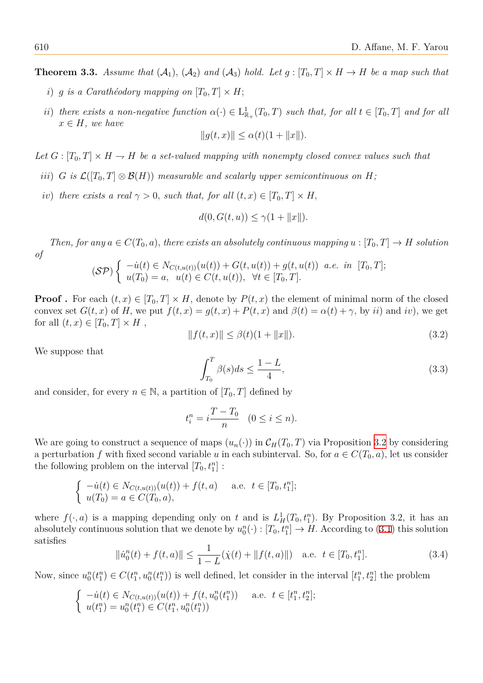**Theorem 3.3.** Assume that  $(A_1)$ ,  $(A_2)$  and  $(A_3)$  hold. Let  $g: [T_0, T] \times H \rightarrow H$  be a map such that

- *i*) *g is a Carathéodory mapping on*  $[T_0, T] \times H$ ;
- *ii*) *there exists a non-negative function*  $\alpha(\cdot) \in L^1_{\mathbb{R}}$  $_{\mathbb{R}_+}^1(T_0, T)$  *such that, for all*  $t \in [T_0, T]$  *and for all*  $x \in H$ *, we have*

$$
||g(t, x)|| \leq \alpha(t)(1 + ||x||).
$$

Let  $G: [T_0, T] \times H \to H$  be a set-valued mapping with nonempty closed convex values such that

- *iii*) *G is*  $\mathcal{L}([T_0, T] \otimes \mathcal{B}(H))$  *measurable and scalarly upper semicontinuous on H*;
- *iv*) *there exists a real*  $\gamma > 0$ *, such that, for all*  $(t, x) \in [T_0, T] \times H$ ,

$$
d(0, G(t, u)) \le \gamma(1 + ||x||).
$$

*Then, for any*  $a \in C(T_0, a)$ *, there exists an absolutely continuous mapping*  $u : [T_0, T] \rightarrow H$  *solution of*

$$
(\mathcal{SP})\begin{cases}\n-iu(t) \in N_{C(t,u(t))}(u(t)) + G(t,u(t)) + g(t,u(t)) & a.e. \in [T_0, T]; \\
u(T_0) = a, \quad u(t) \in C(t,u(t)), \quad \forall t \in [T_0, T].\n\end{cases}
$$

**Proof**. For each  $(t, x) \in [T_0, T] \times H$ , denote by  $P(t, x)$  the element of minimal norm of the closed convex set  $G(t, x)$  of  $H$ , we put  $f(t, x) = g(t, x) + P(t, x)$  and  $\beta(t) = \alpha(t) + \gamma$ , by *ii*) and *iv*), we get for all  $(t, x) \in [T_0, T] \times H$ ,

$$
||f(t,x)|| \le \beta(t)(1+||x||). \tag{3.2}
$$

We suppose that

$$
\int_{T_0}^{T} \beta(s)ds \le \frac{1-L}{4},\tag{3.3}
$$

and consider, for every  $n \in \mathbb{N}$ , a partition of  $[T_0, T]$  defined by

<span id="page-5-0"></span>
$$
t_i^n = i \frac{T - T_0}{n} \quad (0 \le i \le n).
$$

We are going to construct a sequence of maps  $(u_n(\cdot))$  in  $\mathcal{C}_H(T_0,T)$  via Proposition 3.2 by considering a perturbation f with fixed second variable *u* in each subinterval. So, for  $a \in C(T_0, a)$ , let us consider the following problem on the interval  $[T_0, t_1^n]$ :

$$
\begin{cases}\n-iu(t) \in N_{C(t, u(t))}(u(t)) + f(t, a) \quad \text{a.e. } t \in [T_0, t_1^n]; \\
u(T_0) = a \in C(T_0, a),\n\end{cases}
$$

where  $f(\cdot, a)$  is a mapping depending only on *t* and is  $L^1_H(T_0, t_1^n)$ . By Proposition 3.2, it has an absolutely continuous solution that we denote by  $u_0^n(\cdot) : [T_0, t_1^n] \to H$ . According to (3.1) this solution satisfies

$$
\|\dot{u}_0^n(t) + f(t, a)\| \le \frac{1}{1 - L}(\dot{\chi}(t) + \|f(t, a)\|) \quad \text{a.e. } t \in [T_0, t_1^n].\tag{3.4}
$$

Now, since  $u_0^n(t_1^n) \in C(t_1^n, u_0^n(t_1^n))$  is well defined, let consider in [the](#page-4-0) interval  $[t_1^n, t_2^n]$  the problem

$$
\begin{cases}\n-i\mu(t) \in N_{C(t,u(t))}(u(t)) + f(t, u_0^n(t_1^n)) & \text{a.e. } t \in [t_1^n, t_2^n]; \\
u(t_1^n) = u_0^n(t_1^n) \in C(t_1^n, u_0^n(t_1^n))\n\end{cases}
$$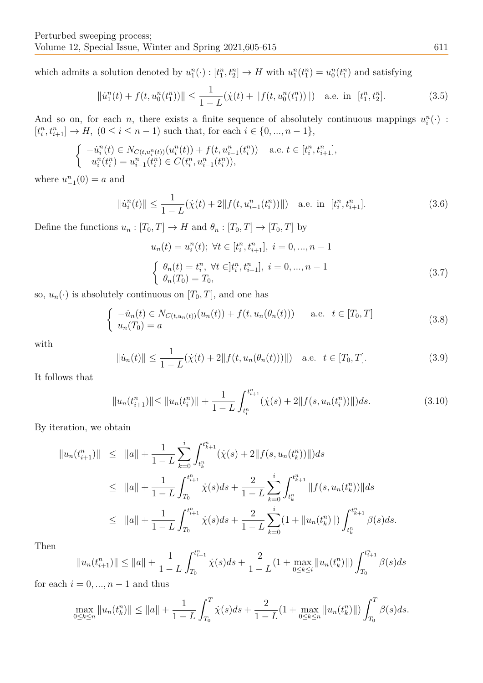which admits a solution denoted by  $u_1^n(\cdot) : [t_1^n, t_2^n] \to H$  with  $u_1^n(t_1^n) = u_0^n(t_1^n)$  and satisfying

$$
\|\dot{u}_1^n(t) + f(t, u_0^n(t_1^n))\| \le \frac{1}{1 - L}(\dot{\chi}(t) + \|f(t, u_0^n(t_1^n))\|) \quad \text{a.e. in } [t_1^n, t_2^n].\tag{3.5}
$$

And so on, for each *n*, there exists a finite sequence of absolutely continuous mappings  $u_i^n(\cdot)$ :  $[t_i^n, t_{i+1}^n] \to H$ ,  $(0 \le i \le n-1)$  such that, for each  $i \in \{0, ..., n-1\}$ ,

$$
\begin{cases}\n-i_i^n(t) \in N_{C(t, u_i^n(t))}(u_i^n(t)) + f(t, u_{i-1}^n(t_i^n)) & \text{a.e. } t \in [t_i^n, t_{i+1}^n], \\
u_i^n(t_i^n) = u_{i-1}^n(t_i^n) \in C(t_i^n, u_{i-1}^n(t_i^n)),\n\end{cases}
$$

where  $u_{-1}^n(0) = a$  and

$$
\|\dot{u}_i^n(t)\| \le \frac{1}{1-L}(\dot{\chi}(t) + 2\|f(t, u_{i-1}^n(t_i^n))\|) \quad \text{a.e. in } [t_i^n, t_{i+1}^n].\tag{3.6}
$$

Define the functions  $u_n : [T_0, T] \to H$  and  $\theta_n : [T_0, T] \to [T_0, T]$  by

$$
u_n(t) = u_i^n(t); \ \forall t \in [t_i^n, t_{i+1}^n], \ i = 0, ..., n-1
$$
  

$$
\begin{cases} \theta_n(t) = t_i^n, \ \forall t \in ]t_i^n, t_{i+1}^n], \ i = 0, ..., n-1 \\ \theta_n(T_0) = T_0, \end{cases}
$$
 (3.7)

so,  $u_n(\cdot)$  is absolutely continuous on  $[T_0, T]$ , and one has

<span id="page-6-0"></span>
$$
\begin{cases}\n-iu_n(t) \in N_{C(t, u_n(t))}(u_n(t)) + f(t, u_n(\theta_n(t))) & \text{a.e. } t \in [T_0, T] \\
u_n(T_0) = a\n\end{cases}
$$
\n(3.8)

with

$$
\|\dot{u}_n(t)\| \le \frac{1}{1-L}(\dot{\chi}(t) + 2\|f(t, u_n(\theta_n(t)))\|) \quad \text{a.e.} \quad t \in [T_0, T]. \tag{3.9}
$$

It follows that

$$
||u_n(t_{i+1}^n)|| \le ||u_n(t_i^n)|| + \frac{1}{1-L} \int_{t_i^n}^{t_{i+1}^n} (\dot{\chi}(s) + 2||f(s, u_n(t_i^n))||) ds.
$$
\n(3.10)

By iteration, we obtain

$$
||u_n(t_{i+1}^n)|| \le ||a|| + \frac{1}{1-L} \sum_{k=0}^i \int_{t_k^n}^{t_{k+1}^n} (\dot{\chi}(s) + 2||f(s, u_n(t_k^n))||) ds
$$
  
\n
$$
\le ||a|| + \frac{1}{1-L} \int_{T_0}^{t_{i+1}^n} \dot{\chi}(s) ds + \frac{2}{1-L} \sum_{k=0}^i \int_{t_k^n}^{t_{k+1}^n} ||f(s, u_n(t_k^n))|| ds
$$
  
\n
$$
\le ||a|| + \frac{1}{1-L} \int_{T_0}^{t_{i+1}^n} \dot{\chi}(s) ds + \frac{2}{1-L} \sum_{k=0}^i (1 + ||u_n(t_k^n)||) \int_{t_k^n}^{t_{k+1}^n} \beta(s) ds.
$$

Then

$$
||u_n(t_{i+1}^n)|| \le ||a|| + \frac{1}{1-L} \int_{T_0}^{t_{i+1}^n} \dot{\chi}(s) ds + \frac{2}{1-L} (1 + \max_{0 \le k \le i} ||u_n(t_k^n)||) \int_{T_0}^{t_{i+1}^n} \beta(s) ds
$$

for each  $i = 0, ..., n-1$  and thus

$$
\max_{0 \le k \le n} \|u_n(t_k^n)\| \le \|a\| + \frac{1}{1-L} \int_{T_0}^T \dot{\chi}(s)ds + \frac{2}{1-L} (1 + \max_{0 \le k \le n} \|u_n(t_k^n)\|) \int_{T_0}^T \beta(s)ds.
$$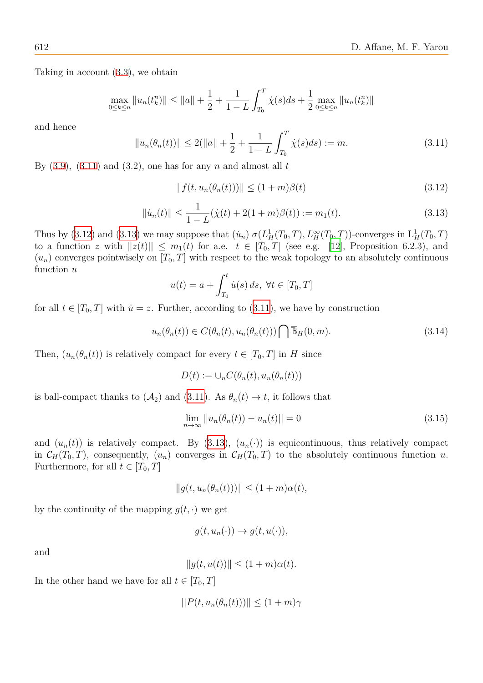Taking in account (3*.*3), we obtain

$$
\max_{0 \le k \le n} \|u_n(t_k^n)\| \le \|a\| + \frac{1}{2} + \frac{1}{1-L} \int_{T_0}^T \dot{\chi}(s)ds + \frac{1}{2} \max_{0 \le k \le n} \|u_n(t_k^n)\|
$$

and hence

$$
||u_n(\theta_n(t))|| \le 2(||a|| + \frac{1}{2} + \frac{1}{1 - L} \int_{T_0}^T \dot{\chi}(s) ds) := m.
$$
 (3.11)

By  $(3.9)$ ,  $(3.11)$  and  $(3.2)$ , one has for any *n* and almost all *t* 

<span id="page-7-0"></span>
$$
|| f(t, u_n(\theta_n(t))) || \le (1+m)\beta(t)
$$
\n(3.12)

<span id="page-7-1"></span>
$$
\|\dot{u}_n(t)\| \le \frac{1}{1 - L} (\dot{\chi}(t) + 2(1 + m)\beta(t)) := m_1(t). \tag{3.13}
$$

Thus by (3.12) and (3.13) we may suppose that  $(i_n) \sigma(L_H^1(T_0, T), L_H^{\infty}(T_0, T))$ -converges in  $L_H^1(T_0, T)$ to a function *z* with  $||z(t)|| \leq m_1(t)$  for a.e.  $t \in [T_0, T]$  (see e.g. [12], Proposition 6.2.3), and  $(u_n)$  converges pointwisely on  $[T_0, T]$  with respect to the weak topology to an absolutely continuous function *[u](#page-7-0)*

<span id="page-7-2"></span>
$$
u(t) = a + \int_{T_0}^t \dot{u}(s) \, ds, \ \forall t \in [T_0, T]
$$

for all  $t \in [T_0, T]$  with  $\dot{u} = z$ . Further, according to (3.11), we have by construction

$$
u_n(\theta_n(t)) \in C(\theta_n(t), u_n(\theta_n(t))) \bigcap \overline{\mathbb{B}}_H(0, m). \tag{3.14}
$$

Then,  $(u_n(\theta_n(t))$  is relatively compact for every  $t \in [T_0, T]$  $t \in [T_0, T]$  $t \in [T_0, T]$  in *H* since

$$
D(t) := \cup_n C(\theta_n(t), u_n(\theta_n(t)))
$$

is ball-compact thanks to  $(\mathcal{A}_2)$  and  $(3.11)$ . As  $\theta_n(t) \to t$ , it follows that

$$
\lim_{n \to \infty} ||u_n(\theta_n(t)) - u_n(t)|| = 0
$$
\n(3.15)

and  $(u_n(t))$  is relatively compact. [By \(](#page-7-1)3.13),  $(u_n(\cdot))$  is equicontinuous, thus relatively compact in  $\mathcal{C}_H(T_0,T)$ , consequently,  $(u_n)$  converges in  $\mathcal{C}_H(T_0,T)$  to the absolutely continuous function *u*. Furthermore, for all  $t \in [T_0, T]$ 

<span id="page-7-3"></span>
$$
||g(t, u_n(\theta_n(t)))|| \leq (1+m)\alpha(t),
$$

by the continuity of the mapping  $g(t, \cdot)$  we get

$$
g(t, u_n(\cdot)) \to g(t, u(\cdot)),
$$

and

$$
||g(t, u(t))|| \le (1+m)\alpha(t).
$$

In the other hand we have for all  $t \in [T_0, T]$ 

$$
||P(t, u_n(\theta_n(t)))|| \le (1+m)\gamma
$$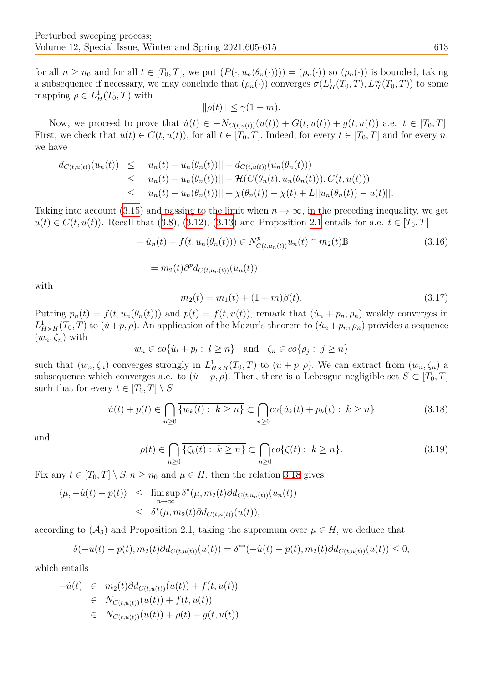for all  $n \geq n_0$  and for all  $t \in [T_0, T]$ , we put  $(P(\cdot, u_n(\theta_n(\cdot)))) = (\rho_n(\cdot))$  so  $(\rho_n(\cdot))$  is bounded, taking a subsequence if necessary, we may conclude that  $(\rho_n(\cdot))$  converges  $\sigma(L_H^1(T_0, T), L_H^{\infty}(T_0, T))$  to some mapping  $\rho \in L^1_H(T_0,T)$  with

$$
\|\rho(t)\| \le \gamma(1+m).
$$

Now, we proceed to prove that  $\dot{u}(t) \in -N_{C(t, u(t))}(u(t)) + G(t, u(t)) + g(t, u(t))$  a.e.  $t \in [T_0, T]$ . First, we check that  $u(t) \in C(t, u(t))$ , for all  $t \in [T_0, T]$ . Indeed, for every  $t \in [T_0, T]$  and for every n, we have

$$
d_{C(t,u(t))}(u_n(t)) \leq ||u_n(t) - u_n(\theta_n(t))|| + d_{C(t,u(t))}(u_n(\theta_n(t)))
$$
  
\n
$$
\leq ||u_n(t) - u_n(\theta_n(t))|| + \mathcal{H}(C(\theta_n(t), u_n(\theta_n(t))), C(t, u(t)))
$$
  
\n
$$
\leq ||u_n(t) - u_n(\theta_n(t))|| + \chi(\theta_n(t)) - \chi(t) + L||u_n(\theta_n(t)) - u(t)||.
$$

Taking into account (3.15) and passing to the limit when  $n \to \infty$ , in the preceding inequality, we get *u*(*t*)  $∈ C(t, u(t))$ . Recall that (3.8), (3.12), (3.13) and Proposition 2.1 entails for a.e. *t*  $∈ [T_0, T]$ 

$$
- \dot{u}_n(t) - f(t, u_n(\theta_n(t))) \in N^p_{C(t, u_n(t))} u_n(t) \cap m_2(t) \mathbb{B}
$$
\n
$$
= m_2(t) \partial^p d_{C(t, u_n(t))}(u_n(t))
$$
\n(3.16)

with

$$
m_2(t) = m_1(t) + (1+m)\beta(t). \tag{3.17}
$$

Putting  $p_n(t) = f(t, u_n(\theta_n(t)))$  and  $p(t) = f(t, u(t))$ , remark that  $(u_n + p_n, \rho_n)$  weakly converges in  $L^1_{H \times H}(T_0, T)$  to  $(\dot{u} + p, \rho)$ . An application of the Mazur's theorem to  $(\dot{u}_n + p_n, \rho_n)$  provides a sequence  $(w_n, \zeta_n)$  with

$$
w_n \in co\{\dot{u}_l + p_l : l \geq n\}
$$
 and  $\zeta_n \in co\{\rho_j : j \geq n\}$ 

such that  $(w_n, \zeta_n)$  converges strongly in  $L^1_{H \times H}(T_0, T)$  to  $(u + p, \rho)$ . We can extract from  $(w_n, \zeta_n)$  a subsequence which converges a.e. to  $(\dot{u} + p, \rho)$ . Then, there is a Lebesgue negligible set  $S \subset [T_0, T]$ such that for every  $t \in [T_0, T] \setminus S$ 

$$
\dot{u}(t) + p(t) \in \bigcap_{n \ge 0} \overline{\{w_k(t) : k \ge n\}} \subset \bigcap_{n \ge 0} \overline{co} \{\dot{u}_k(t) + p_k(t) : k \ge n\}
$$
\n(3.18)

and

<span id="page-8-0"></span>
$$
\rho(t) \in \bigcap_{n\geq 0} \overline{\{\zeta_k(t) : k \geq n\}} \subset \bigcap_{n\geq 0} \overline{co} \{\zeta(t) : k \geq n\}.
$$
\n(3.19)

Fix any  $t \in [T_0, T] \setminus S, n \geq n_0$  and  $\mu \in H$ , then the relation 3.18 gives

$$
\langle \mu, -\dot{u}(t) - p(t) \rangle \leq \limsup_{n \to \infty} \delta^*(\mu, m_2(t) \partial d_{C(t, u_n(t))}(u_n(t))
$$
  

$$
\leq \delta^*(\mu, m_2(t) \partial d_{C(t, u(t))}(u(t)),
$$

according to  $(\mathcal{A}_3)$  and Proposition 2.1, taking the supremum over  $\mu \in H$ , we deduce that

$$
\delta(-\dot{u}(t)-p(t), m_2(t)\partial d_{C(t, u(t))}(u(t)) = \delta^{**}(-\dot{u}(t)-p(t), m_2(t)\partial d_{C(t, u(t))}(u(t)) \le 0,
$$

which entails

$$
-u(t) \in m_2(t) \partial d_{C(t, u(t))}(u(t)) + f(t, u(t))
$$
  
\n
$$
\in N_{C(t, u(t))}(u(t)) + f(t, u(t))
$$
  
\n
$$
\in N_{C(t, u(t))}(u(t)) + \rho(t) + g(t, u(t)).
$$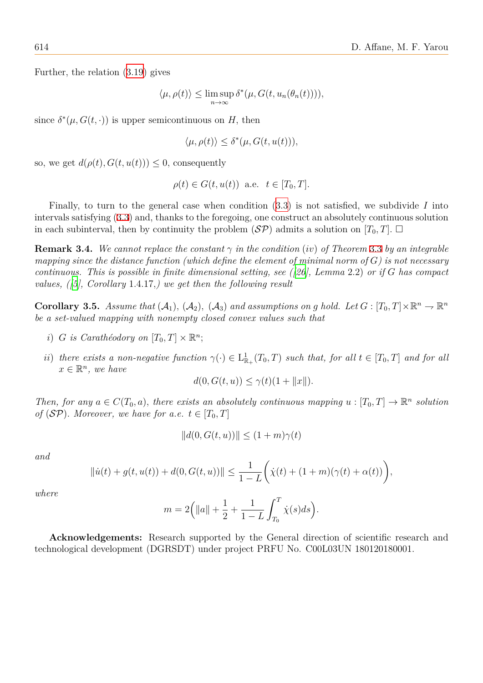Further, the relation (3.19) gives

$$
\langle \mu, \rho(t) \rangle \leq \limsup_{n \to \infty} \delta^*(\mu, G(t, u_n(\theta_n(t))))
$$

since  $\delta^*(\mu, G(t, \cdot))$  is [upper](#page-8-0) semicontinuous on *H*, then

$$
\langle \mu, \rho(t) \rangle \le \delta^*(\mu, G(t, u(t))),
$$

so, we get  $d(\rho(t), G(t, u(t))) \leq 0$ , consequently

$$
\rho(t) \in G(t, u(t)) \text{ a.e. } t \in [T_0, T].
$$

Finally, to turn to the general case when condition (3.3) is not satisfied, we subdivide *I* into intervals satisfying (3*.*3) and, thanks to the foregoing, one construct an absolutely continuous solution in each subinterval, then by continuity the problem  $(S\mathcal{P})$  admits a solution on  $[T_0, T]$ .  $\Box$ 

**Remark 3.4.** We cannot replace the constant  $\gamma$  in the con[diti](#page-5-0)on (*iv*) of Theorem 3.3 by an integrable *mapping since the d[ista](#page-5-0)nce function (which define the element of minimal norm of G) is not necessary continuous. This is possible in finite dimensional setting, see ([26], Lemma* 2*.*2) *or if G has compact values, ([5], Corollary* 1*.*4*.*17*,) we get then the following result*

**Corollary 3.5.** Assume that  $(A_1)$ ,  $(A_2)$ ,  $(A_3)$  and assumption[s o](#page-10-22)n g hold. Let  $G : [T_0, T] \times \mathbb{R}^n \to \mathbb{R}^n$ *be a set-[va](#page-10-23)lued mapping with nonempty closed convex values such that*

- *i*) *G is Carathéodory on*  $[T_0, T] \times \mathbb{R}^n$ ;
- *ii*) *there exists a non-negative function*  $\gamma(\cdot) \in L^1_{\mathbb{R}}$  $\frac{1}{\mathbb{R}_+}(T_0,T)$  *such that, for all*  $t \in [T_0,T]$  *and for all*  $x \in \mathbb{R}^n$ , we have

$$
d(0, G(t, u)) \le \gamma(t)(1 + ||x||).
$$

*Then, for any*  $a \in C(T_0, a)$ *, there exists an absolutely continuous mapping*  $u : [T_0, T] \to \mathbb{R}^n$  solution *of* (*SP*)*. Moreover, we have for a.e.*  $t \in [T_0, T]$ 

$$
||d(0, G(t, u))|| \le (1+m)\gamma(t)
$$

*and*

$$
\|\dot{u}(t) + g(t, u(t)) + d(0, G(t, u))\| \le \frac{1}{1 - L} \bigg(\dot{\chi}(t) + (1 + m)(\gamma(t) + \alpha(t))\bigg),
$$

*where*

$$
m = 2(|a|| + \frac{1}{2} + \frac{1}{1 - L} \int_{T_0}^{T} \dot{\chi}(s) ds).
$$

**Acknowledgements:** Research supported by the General direction of scientific research and technological development (DGRSDT) under project PRFU No. C00L03UN 180120180001.